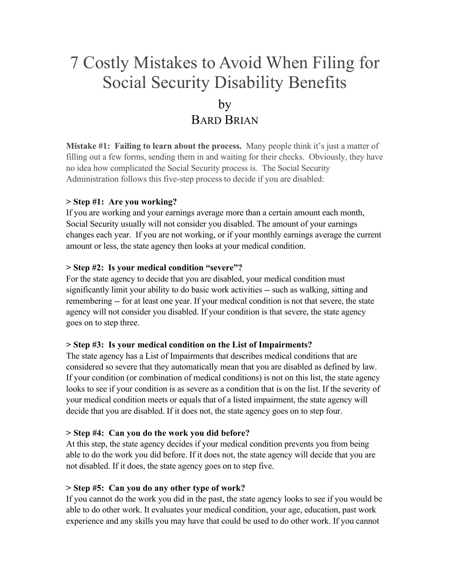# 7 Costly Mistakes to Avoid When Filing for Social Security Disability Benefits

## by BARD BRIAN

**Mistake #1: Failing to learn about the process.** Many people think it's just a matter of filling out a few forms, sending them in and waiting for their checks. Obviously, they have no idea how complicated the Social Security process is. The Social Security Administration follows this five-step process to decide if you are disabled:

#### **> Step #1: Are you working?**

If you are working and your earnings average more than a certain amount each month, Social Security usually will not consider you disabled. The amount of your earnings changes each year. If you are not working, or if your monthly earnings average the current amount or less, the state agency then looks at your medical condition.

#### **> Step #2: Is your medical condition "severe"?**

For the state agency to decide that you are disabled, your medical condition must significantly limit your ability to do basic work activities -- such as walking, sitting and remembering -- for at least one year. If your medical condition is not that severe, the state agency will not consider you disabled. If your condition is that severe, the state agency goes on to step three.

#### **> Step #3: Is your medical condition on the List of Impairments?**

The state agency has a List of Impairments that describes medical conditions that are considered so severe that they automatically mean that you are disabled as defined by law. If your condition (or combination of medical conditions) is not on this list, the state agency looks to see if your condition is as severe as a condition that is on the list. If the severity of your medical condition meets or equals that of a listed impairment, the state agency will decide that you are disabled. If it does not, the state agency goes on to step four.

#### **> Step #4: Can you do the work you did before?**

At this step, the state agency decides if your medical condition prevents you from being able to do the work you did before. If it does not, the state agency will decide that you are not disabled. If it does, the state agency goes on to step five.

#### **> Step #5: Can you do any other type of work?**

If you cannot do the work you did in the past, the state agency looks to see if you would be able to do other work. It evaluates your medical condition, your age, education, past work experience and any skills you may have that could be used to do other work. If you cannot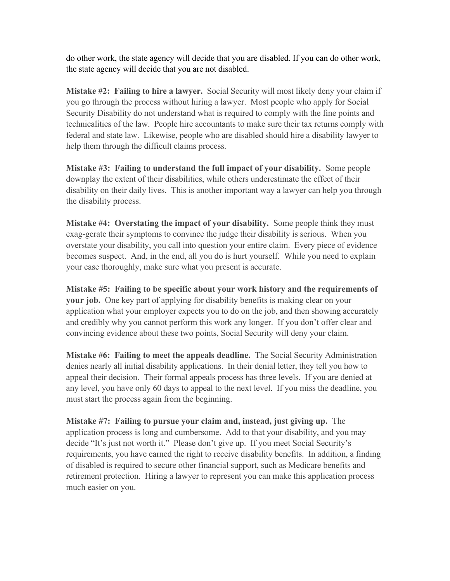do other work, the state agency will decide that you are disabled. If you can do other work, the state agency will decide that you are not disabled.

**Mistake #2: Failing to hire a lawyer.** Social Security will most likely deny your claim if you go through the process without hiring a lawyer. Most people who apply for Social Security Disability do not understand what is required to comply with the fine points and technicalities of the law. People hire accountants to make sure their tax returns comply with federal and state law. Likewise, people who are disabled should hire a disability lawyer to help them through the difficult claims process.

**Mistake #3: Failing to understand the full impact of your disability.** Some people downplay the extent of their disabilities, while others underestimate the effect of their disability on their daily lives. This is another important way a lawyer can help you through the disability process.

**Mistake #4: Overstating the impact of your disability.** Some people think they must exag-gerate their symptoms to convince the judge their disability is serious. When you overstate your disability, you call into question your entire claim. Every piece of evidence becomes suspect. And, in the end, all you do is hurt yourself. While you need to explain your case thoroughly, make sure what you present is accurate.

**Mistake #5: Failing to be specific about your work history and the requirements of your job.** One key part of applying for disability benefits is making clear on your application what your employer expects you to do on the job, and then showing accurately and credibly why you cannot perform this work any longer. If you don't offer clear and convincing evidence about these two points, Social Security will deny your claim.

**Mistake #6: Failing to meet the appeals deadline.** The Social Security Administration denies nearly all initial disability applications. In their denial letter, they tell you how to appeal their decision. Their formal appeals process has three levels. If you are denied at any level, you have only 60 days to appeal to the next level. If you miss the deadline, you must start the process again from the beginning.

**Mistake #7: Failing to pursue your claim and, instead, just giving up.** The application process is long and cumbersome. Add to that your disability, and you may decide "It's just not worth it." Please don't give up. If you meet Social Security's requirements, you have earned the right to receive disability benefits. In addition, a finding of disabled is required to secure other financial support, such as Medicare benefits and retirement protection. Hiring a lawyer to represent you can make this application process much easier on you.